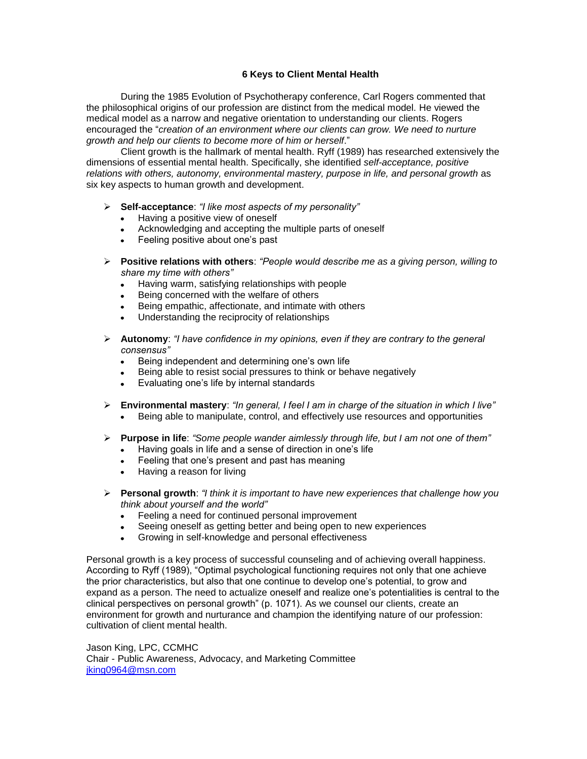## **6 Keys to Client Mental Health**

During the 1985 Evolution of Psychotherapy conference, Carl Rogers commented that the philosophical origins of our profession are distinct from the medical model. He viewed the medical model as a narrow and negative orientation to understanding our clients. Rogers encouraged the "*creation of an environment where our clients can grow. We need to nurture growth and help our clients to become more of him or herself*."

Client growth is the hallmark of mental health. Ryff (1989) has researched extensively the dimensions of essential mental health. Specifically, she identified *self-acceptance, positive relations with others, autonomy, environmental mastery, purpose in life, and personal growth* as six key aspects to human growth and development.

- **Self-acceptance**: *"I like most aspects of my personality"*
	- $\bullet$  . Having a positive view of oneself
	- Acknowledging and accepting the multiple parts of oneself
	- Feeling positive about one's past  $\bullet$
- **Positive relations with others**: *"People would describe me as a giving person, willing to share my time with others"*
	- Having warm, satisfying relationships with people  $\bullet$  .
	- Being concerned with the welfare of others
	- Being empathic, affectionate, and intimate with others
	- Understanding the reciprocity of relationships
- **Autonomy**: *"I have confidence in my opinions, even if they are contrary to the general consensus"*
	- Being independent and determining one's own life  $\bullet$
	- Being able to resist social pressures to think or behave negatively
	- Evaluating one's life by internal standards
- **Environmental mastery**: *"In general, I feel I am in charge of the situation in which I live"* Being able to manipulate, control, and effectively use resources and opportunities
- **Purpose in life**: *"Some people wander aimlessly through life, but I am not one of them"*
	- Having goals in life and a sense of direction in one's life  $\bullet$  . The set of  $\bullet$
	- Feeling that one's present and past has meaning
	- $\bullet$ Having a reason for living
- **Personal growth**: *"I think it is important to have new experiences that challenge how you think about yourself and the world"*
	- Feeling a need for continued personal improvement
	- Seeing oneself as getting better and being open to new experiences
	- Growing in self-knowledge and personal effectiveness  $\blacksquare$

Personal growth is a key process of successful counseling and of achieving overall happiness. According to Ryff (1989), "Optimal psychological functioning requires not only that one achieve the prior characteristics, but also that one continue to develop one's potential, to grow and expand as a person. The need to actualize oneself and realize one's potentialities is central to the clinical perspectives on personal growth" (p. 1071). As we counsel our clients, create an environment for growth and nurturance and champion the identifying nature of our profession: cultivation of client mental health.

Jason King, LPC, CCMHC Chair - Public Awareness, Advocacy, and Marketing Committee [jking0964@msn.com](mailto:jking0964@msn.com)